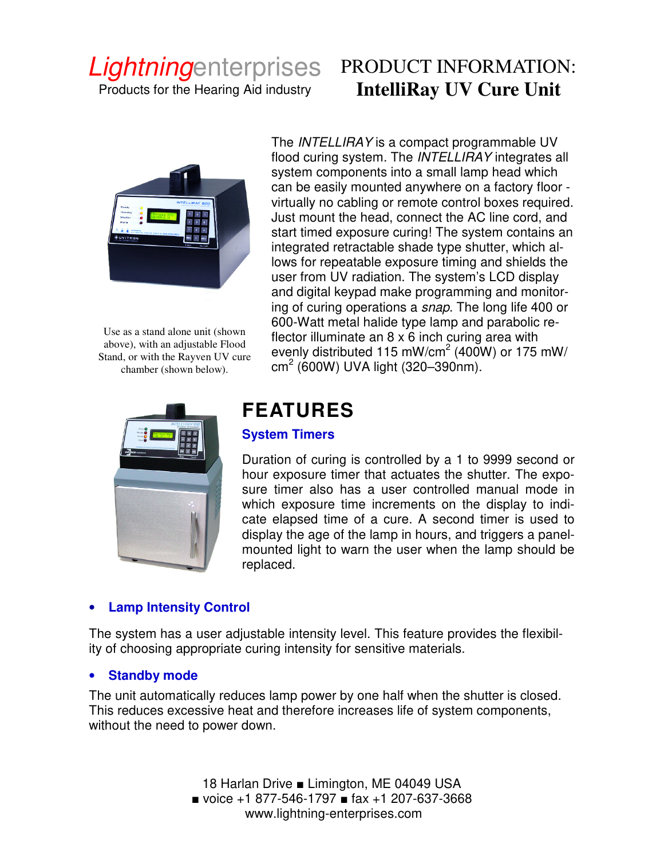# Lightningenterprises

Products for the Hearing Aid industry

# PRODUCT INFORMATION: **IntelliRay UV Cure Unit**



Use as a stand alone unit (shown above), with an adjustable Flood Stand, or with the Rayven UV cure chamber (shown below).

The INTELLIRAY is a compact programmable UV flood curing system. The INTELLIRAY integrates all system components into a small lamp head which can be easily mounted anywhere on a factory floor virtually no cabling or remote control boxes required. Just mount the head, connect the AC line cord, and start timed exposure curing! The system contains an integrated retractable shade type shutter, which allows for repeatable exposure timing and shields the user from UV radiation. The system's LCD display and digital keypad make programming and monitoring of curing operations a snap. The long life 400 or 600-Watt metal halide type lamp and parabolic reflector illuminate an 8 x 6 inch curing area with evenly distributed 115 mW/cm $^2$  (400W) or 175 mW/ cm<sup>2</sup> (600W) UVA light (320–390nm).



# **FEATURES**

## **System Timers**

Duration of curing is controlled by a 1 to 9999 second or hour exposure timer that actuates the shutter. The exposure timer also has a user controlled manual mode in which exposure time increments on the display to indicate elapsed time of a cure. A second timer is used to display the age of the lamp in hours, and triggers a panelmounted light to warn the user when the lamp should be replaced.

# • **Lamp Intensity Control**

The system has a user adjustable intensity level. This feature provides the flexibility of choosing appropriate curing intensity for sensitive materials.

## **Standby mode**

The unit automatically reduces lamp power by one half when the shutter is closed. This reduces excessive heat and therefore increases life of system components, without the need to power down.

> 18 Harlan Drive ■ Limington, ME 04049 USA ■ voice +1 877-546-1797 ■ fax +1 207-637-3668 www.lightning-enterprises.com